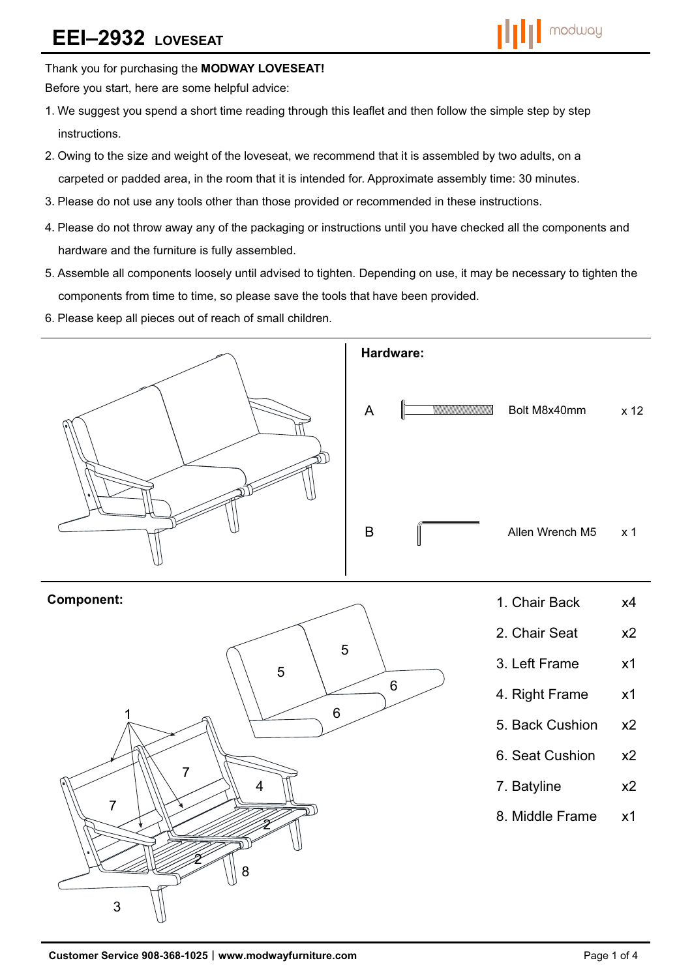# **EEI–2932 LOVESEAT**



Thank you for purchasing the **MODWAY LOVESEAT!** 

Before you start, here are some helpful advice:

- 1.We suggest you spend a short time reading through this leaflet and then follow the simple step by step instructions.
- 2.Owing to the size and weight of the loveseat, we recommend that it is assembled by two adults, on a carpeted or padded area, in the room that it is intended for. Approximate assembly time: 30 minutes.
- 3.Please do not use any tools other than those provided or recommended in these instructions.
- 4.Please do not throw away any of the packaging or instructions until you have checked all the components and hardware and the furniture is fully assembled.
- 5.Assemble all components loosely until advised to tighten. Depending on use, it may be necessary to tighten the components from time to time, so please save the tools that have been provided.
- 6.Please keep all pieces out of reach of small children.



6

- 4. Right Frame x1
- 5. Back Cushion x2
- 6. Seat Cushion x2
- 7. Batyline x2
- 8. Middle Frame x1

2

7

2

8

4

3

7

1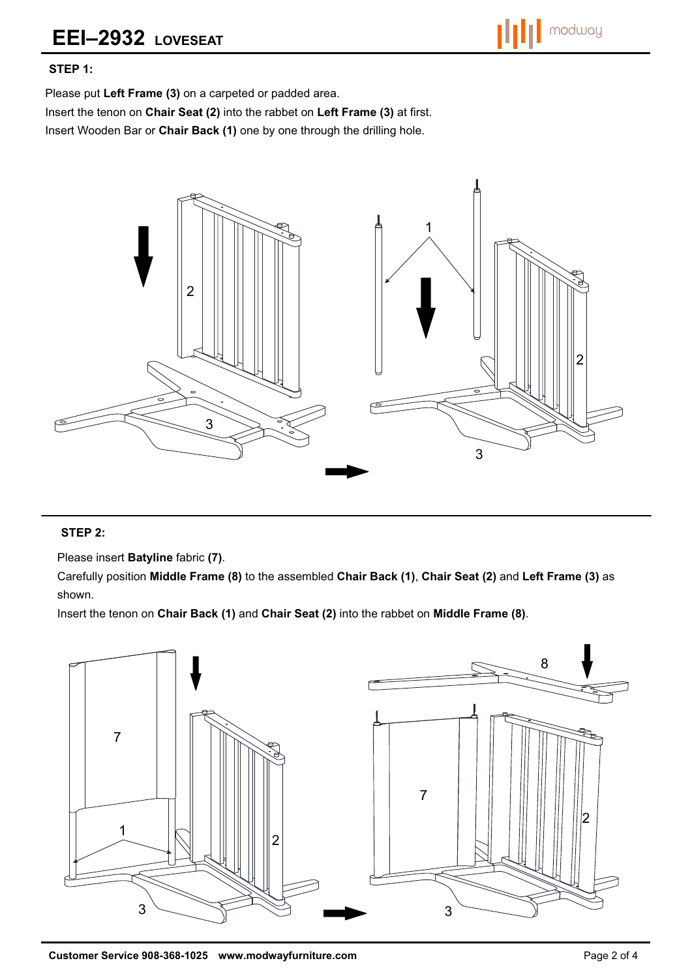### **STEP 1:**

Please put **Left Frame (3)** on a carpeted or padded area.

Insert the tenon on **Chair Seat (2)** into the rabbet on **Left Frame (3)** at first.

Insert Wooden Bar or **Chair Back (1)** one by one through the drilling hole.



### **STEP 2:**

Please insert **Batyline** fabric **(7)**.

Carefully position **Middle Frame (8)** to the assembled **Chair Back (1)**, **Chair Seat (2)** and **Left Frame (3)** as shown.

Insert the tenon on **Chair Back (1)** and **Chair Seat (2)** into the rabbet on **Middle Frame (8)**.

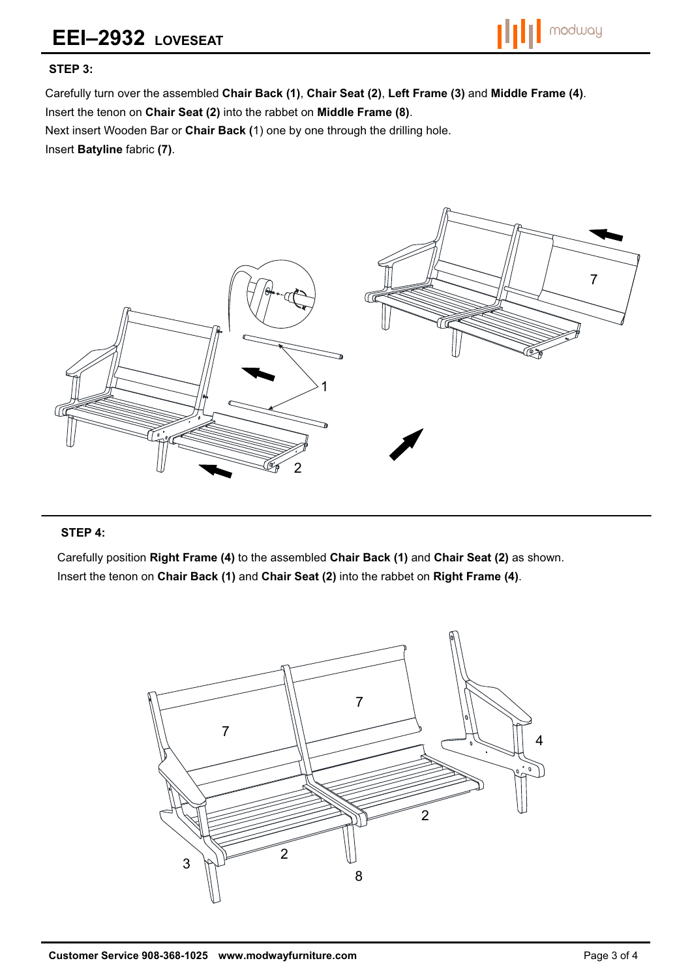# **EEI–2932 LOVESEAT**



#### **STEP 3:**

Carefully turn over the assembled **Chair Back (1)**, **Chair Seat (2)**, **Left Frame (3)** and **Middle Frame (4)**. Insert the tenon on **Chair Seat (2)** into the rabbet on **Middle Frame (8)**.

Next insert Wooden Bar or **Chair Back (**1) one by one through the drilling hole.

Insert **Batyline** fabric **(7)**.



#### **STEP 4:**

Carefully position **Right Frame (4)** to the assembled **Chair Back (1)** and **Chair Seat (2)** as shown. Insert the tenon on **Chair Back (1)** and **Chair Seat (2)** into the rabbet on **Right Frame (4)**.